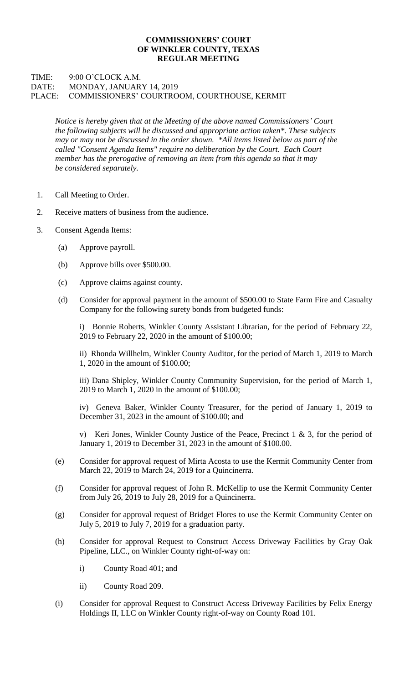## **COMMISSIONERS' COURT OF WINKLER COUNTY, TEXAS REGULAR MEETING**

## TIME: 9:00 O'CLOCK A.M. DATE: MONDAY, JANUARY 14, 2019 PLACE: COMMISSIONERS' COURTROOM, COURTHOUSE, KERMIT

*Notice is hereby given that at the Meeting of the above named Commissioners' Court the following subjects will be discussed and appropriate action taken\*. These subjects may or may not be discussed in the order shown. \*All items listed below as part of the called "Consent Agenda Items" require no deliberation by the Court. Each Court member has the prerogative of removing an item from this agenda so that it may be considered separately.*

- 1. Call Meeting to Order.
- 2. Receive matters of business from the audience.
- 3. Consent Agenda Items:
	- (a) Approve payroll.
	- (b) Approve bills over \$500.00.
	- (c) Approve claims against county.
	- (d) Consider for approval payment in the amount of \$500.00 to State Farm Fire and Casualty Company for the following surety bonds from budgeted funds:

i) Bonnie Roberts, Winkler County Assistant Librarian, for the period of February 22, 2019 to February 22, 2020 in the amount of \$100.00;

ii) Rhonda Willhelm, Winkler County Auditor, for the period of March 1, 2019 to March 1, 2020 in the amount of \$100.00;

iii) Dana Shipley, Winkler County Community Supervision, for the period of March 1, 2019 to March 1, 2020 in the amount of \$100.00;

iv) Geneva Baker, Winkler County Treasurer, for the period of January 1, 2019 to December 31, 2023 in the amount of \$100.00; and

v) Keri Jones, Winkler County Justice of the Peace, Precinct 1 & 3, for the period of January 1, 2019 to December 31, 2023 in the amount of \$100.00.

- (e) Consider for approval request of Mirta Acosta to use the Kermit Community Center from March 22, 2019 to March 24, 2019 for a Quincinerra.
- (f) Consider for approval request of John R. McKellip to use the Kermit Community Center from July 26, 2019 to July 28, 2019 for a Quincinerra.
- (g) Consider for approval request of Bridget Flores to use the Kermit Community Center on July 5, 2019 to July 7, 2019 for a graduation party.
- (h) Consider for approval Request to Construct Access Driveway Facilities by Gray Oak Pipeline, LLC., on Winkler County right-of-way on:
	- i) County Road 401; and
	- ii) County Road 209.
- (i) Consider for approval Request to Construct Access Driveway Facilities by Felix Energy Holdings II, LLC on Winkler County right-of-way on County Road 101.